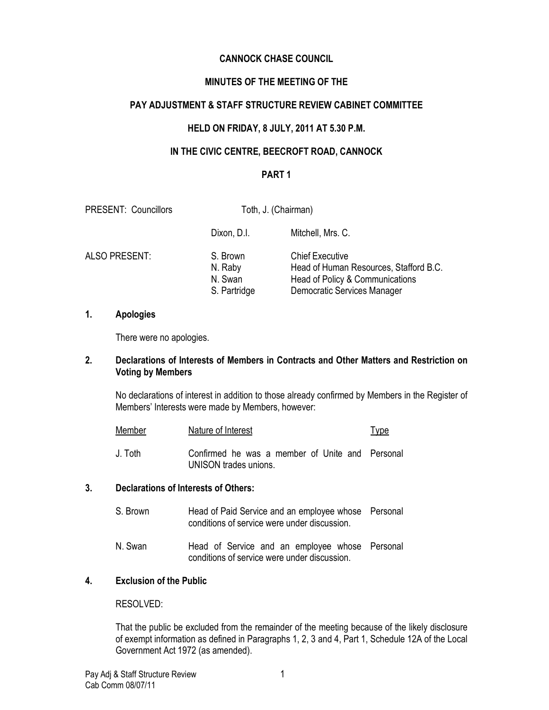# CANNOCK CHASE COUNCIL

# MINUTES OF THE MEETING OF THE

## PAY ADJUSTMENT & STAFF STRUCTURE REVIEW CABINET COMMITTEE

## HELD ON FRIDAY, 8 JULY, 2011 AT 5.30 P.M.

## IN THE CIVIC CENTRE, BEECROFT ROAD, CANNOCK

#### PART 1

| <b>PRESENT: Councillors</b> | Toth, J. (Chairman)                            |                                                                                                                                    |
|-----------------------------|------------------------------------------------|------------------------------------------------------------------------------------------------------------------------------------|
|                             | Dixon, D.I.                                    | Mitchell, Mrs. C.                                                                                                                  |
| ALSO PRESENT:               | S. Brown<br>N. Raby<br>N. Swan<br>S. Partridge | <b>Chief Executive</b><br>Head of Human Resources, Stafford B.C.<br>Head of Policy & Communications<br>Democratic Services Manager |

#### 1. Apologies

There were no apologies.

## 2. Declarations of Interests of Members in Contracts and Other Matters and Restriction on Voting by Members

No declarations of interest in addition to those already confirmed by Members in the Register of Members' Interests were made by Members, however:

| Member  | Nature of Interest                                                       | <u>Type</u> |
|---------|--------------------------------------------------------------------------|-------------|
| J. Toth | Confirmed he was a member of Unite and Personal<br>UNISON trades unions. |             |

## 3. Declarations of Interests of Others:

| S. Brown | Head of Paid Service and an employee whose Personal<br>conditions of service were under discussion. |  |
|----------|-----------------------------------------------------------------------------------------------------|--|
| N. Swan  | Head of Service and an employee whose Personal<br>conditions of service were under discussion.      |  |

## 4. Exclusion of the Public

RESOLVED:

That the public be excluded from the remainder of the meeting because of the likely disclosure of exempt information as defined in Paragraphs 1, 2, 3 and 4, Part 1, Schedule 12A of the Local Government Act 1972 (as amended).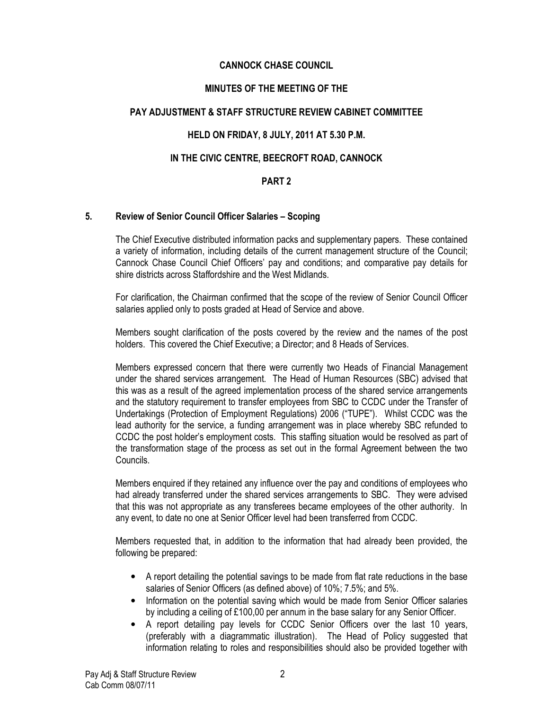## CANNOCK CHASE COUNCIL

## MINUTES OF THE MEETING OF THE

## PAY ADJUSTMENT & STAFF STRUCTURE REVIEW CABINET COMMITTEE

## HELD ON FRIDAY, 8 JULY, 2011 AT 5.30 P.M.

## IN THE CIVIC CENTRE, BEECROFT ROAD, CANNOCK

#### PART 2

#### 5. Review of Senior Council Officer Salaries – Scoping

The Chief Executive distributed information packs and supplementary papers. These contained a variety of information, including details of the current management structure of the Council; Cannock Chase Council Chief Officers' pay and conditions; and comparative pay details for shire districts across Staffordshire and the West Midlands.

For clarification, the Chairman confirmed that the scope of the review of Senior Council Officer salaries applied only to posts graded at Head of Service and above.

Members sought clarification of the posts covered by the review and the names of the post holders. This covered the Chief Executive; a Director; and 8 Heads of Services.

Members expressed concern that there were currently two Heads of Financial Management under the shared services arrangement. The Head of Human Resources (SBC) advised that this was as a result of the agreed implementation process of the shared service arrangements and the statutory requirement to transfer employees from SBC to CCDC under the Transfer of Undertakings (Protection of Employment Regulations) 2006 ("TUPE"). Whilst CCDC was the lead authority for the service, a funding arrangement was in place whereby SBC refunded to CCDC the post holder's employment costs. This staffing situation would be resolved as part of the transformation stage of the process as set out in the formal Agreement between the two Councils.

Members enquired if they retained any influence over the pay and conditions of employees who had already transferred under the shared services arrangements to SBC. They were advised that this was not appropriate as any transferees became employees of the other authority. In any event, to date no one at Senior Officer level had been transferred from CCDC.

Members requested that, in addition to the information that had already been provided, the following be prepared:

- A report detailing the potential savings to be made from flat rate reductions in the base salaries of Senior Officers (as defined above) of 10%; 7.5%; and 5%.
- Information on the potential saving which would be made from Senior Officer salaries by including a ceiling of £100,00 per annum in the base salary for any Senior Officer.
- A report detailing pay levels for CCDC Senior Officers over the last 10 years, (preferably with a diagrammatic illustration). The Head of Policy suggested that information relating to roles and responsibilities should also be provided together with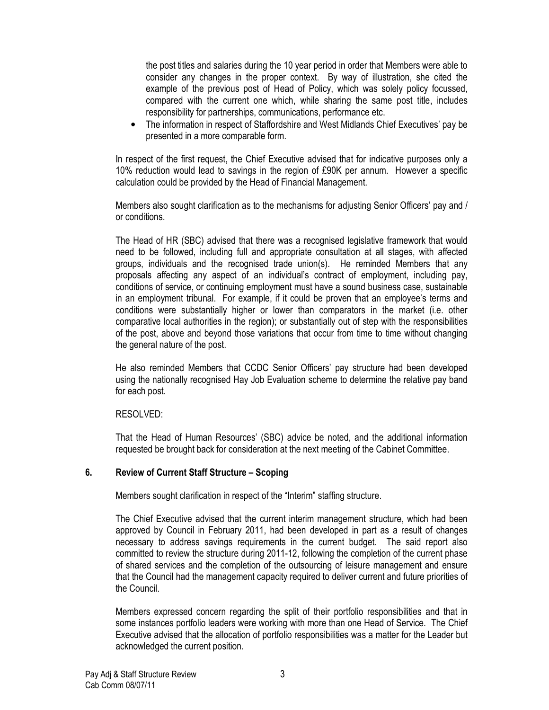the post titles and salaries during the 10 year period in order that Members were able to consider any changes in the proper context. By way of illustration, she cited the example of the previous post of Head of Policy, which was solely policy focussed, compared with the current one which, while sharing the same post title, includes responsibility for partnerships, communications, performance etc.

• The information in respect of Staffordshire and West Midlands Chief Executives' pay be presented in a more comparable form.

In respect of the first request, the Chief Executive advised that for indicative purposes only a 10% reduction would lead to savings in the region of £90K per annum. However a specific calculation could be provided by the Head of Financial Management.

Members also sought clarification as to the mechanisms for adjusting Senior Officers' pay and / or conditions.

The Head of HR (SBC) advised that there was a recognised legislative framework that would need to be followed, including full and appropriate consultation at all stages, with affected groups, individuals and the recognised trade union(s). He reminded Members that any proposals affecting any aspect of an individual's contract of employment, including pay, conditions of service, or continuing employment must have a sound business case, sustainable in an employment tribunal. For example, if it could be proven that an employee's terms and conditions were substantially higher or lower than comparators in the market (i.e. other comparative local authorities in the region); or substantially out of step with the responsibilities of the post, above and beyond those variations that occur from time to time without changing the general nature of the post.

He also reminded Members that CCDC Senior Officers' pay structure had been developed using the nationally recognised Hay Job Evaluation scheme to determine the relative pay band for each post.

#### RESOLVED:

That the Head of Human Resources' (SBC) advice be noted, and the additional information requested be brought back for consideration at the next meeting of the Cabinet Committee.

## 6. Review of Current Staff Structure – Scoping

Members sought clarification in respect of the "Interim" staffing structure.

The Chief Executive advised that the current interim management structure, which had been approved by Council in February 2011, had been developed in part as a result of changes necessary to address savings requirements in the current budget. The said report also committed to review the structure during 2011-12, following the completion of the current phase of shared services and the completion of the outsourcing of leisure management and ensure that the Council had the management capacity required to deliver current and future priorities of the Council.

Members expressed concern regarding the split of their portfolio responsibilities and that in some instances portfolio leaders were working with more than one Head of Service. The Chief Executive advised that the allocation of portfolio responsibilities was a matter for the Leader but acknowledged the current position.